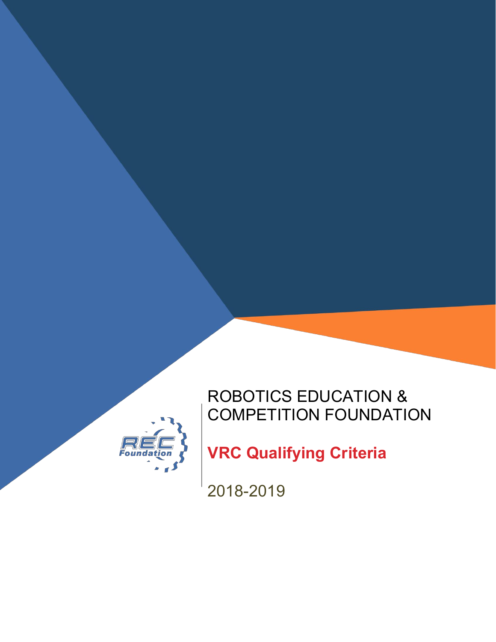

# ROBOTICS EDUCATION & COMPETITION FOUNDATION

**VRC Qualifying Criteria**

2018-2019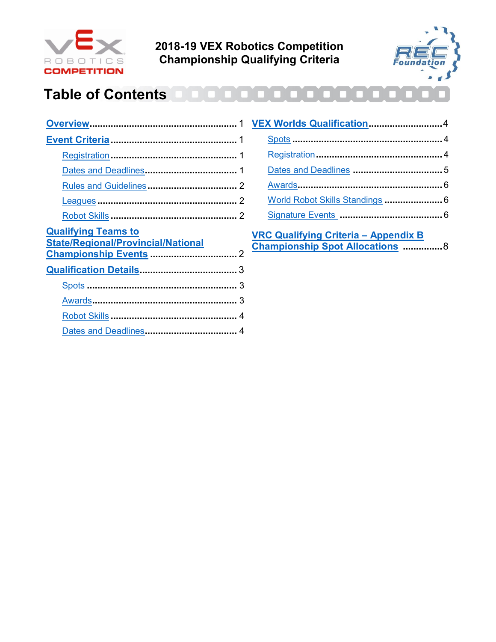

**2018-19 VEX Robotics Competition Championship Qualifying Criteria**



## **Table of Contents**

| <b>Qualifying Teams to</b><br><b>State/Regional/Provincial/National</b> |  |
|-------------------------------------------------------------------------|--|
|                                                                         |  |
|                                                                         |  |
|                                                                         |  |
|                                                                         |  |
|                                                                         |  |
|                                                                         |  |

| VEX Worlds Qualification4       |  |
|---------------------------------|--|
|                                 |  |
|                                 |  |
|                                 |  |
|                                 |  |
| World Robot Skills Standings  6 |  |
|                                 |  |
|                                 |  |

**[VRC Qualifying Criteria](#page-8-0) – Appendix B [Championship Spot Allocations](#page-8-0) ...............**8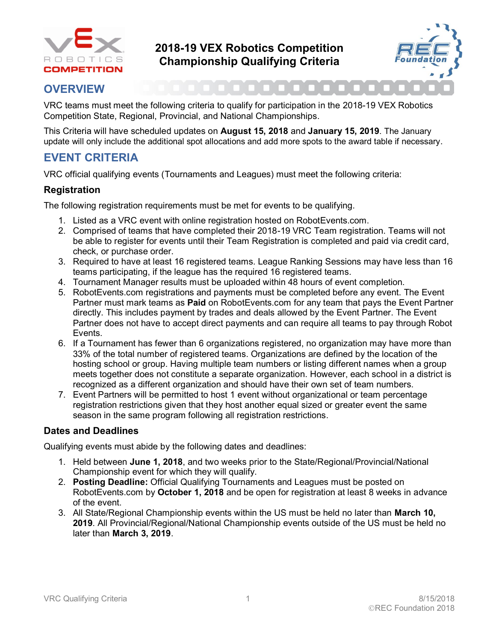



### <span id="page-2-0"></span>**OVERVIEW**

VRC teams must meet the following criteria to qualify for participation in the 2018-19 VEX Robotics Competition State, Regional, Provincial, and National Championships.

This Criteria will have scheduled updates on **August 15, 2018** and **January 15, 2019**. The January update will only include the additional spot allocations and add more spots to the award table if necessary.

## <span id="page-2-1"></span>**EVENT CRITERIA**

VRC official qualifying events (Tournaments and Leagues) must meet the following criteria:

#### <span id="page-2-2"></span>**Registration**

The following registration requirements must be met for events to be qualifying.

- 1. Listed as a VRC event with online registration hosted on RobotEvents.com.
- 2. Comprised of teams that have completed their 2018-19 VRC Team registration. Teams will not be able to register for events until their Team Registration is completed and paid via credit card, check, or purchase order.
- 3. Required to have at least 16 registered teams. League Ranking Sessions may have less than 16 teams participating, if the league has the required 16 registered teams.
- 4. Tournament Manager results must be uploaded within 48 hours of event completion.
- 5. RobotEvents.com registrations and payments must be completed before any event. The Event Partner must mark teams as **Paid** on RobotEvents.com for any team that pays the Event Partner directly. This includes payment by trades and deals allowed by the Event Partner. The Event Partner does not have to accept direct payments and can require all teams to pay through Robot Events.
- 6. If a Tournament has fewer than 6 organizations registered, no organization may have more than 33% of the total number of registered teams. Organizations are defined by the location of the hosting school or group. Having multiple team numbers or listing different names when a group meets together does not constitute a separate organization. However, each school in a district is recognized as a different organization and should have their own set of team numbers.
- 7. Event Partners will be permitted to host 1 event without organizational or team percentage registration restrictions given that they host another equal sized or greater event the same season in the same program following all registration restrictions.

#### <span id="page-2-3"></span>**Dates and Deadlines**

Qualifying events must abide by the following dates and deadlines:

- 1. Held between **June 1, 2018**, and two weeks prior to the State/Regional/Provincial/National Championship event for which they will qualify.
- 2. **Posting Deadline:** Official Qualifying Tournaments and Leagues must be posted on RobotEvents.com by **October 1, 2018** and be open for registration at least 8 weeks in advance of the event.
- <span id="page-2-4"></span>3. All State/Regional Championship events within the US must be held no later than **March 10, 2019**. All Provincial/Regional/National Championship events outside of the US must be held no later than **March 3, 2019**.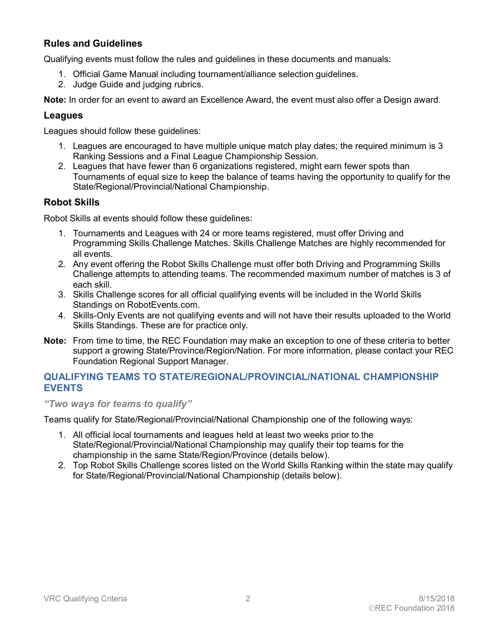#### **Rules and Guidelines**

Qualifying events must follow the rules and guidelines in these documents and manuals:

- 1. Official Game Manual including tournament/alliance selection guidelines.
- 2. Judge Guide and judging rubrics.

**Note:** In order for an event to award an Excellence Award, the event must also offer a Design award.

#### <span id="page-3-0"></span>**Leagues**

Leagues should follow these guidelines:

- 1. Leagues are encouraged to have multiple unique match play dates; the required minimum is 3 Ranking Sessions and a Final League Championship Session.
- 2. Leagues that have fewer than 6 organizations registered, might earn fewer spots than Tournaments of equal size to keep the balance of teams having the opportunity to qualify for the State/Regional/Provincial/National Championship.

#### <span id="page-3-1"></span>**Robot Skills**

Robot Skills at events should follow these guidelines:

- 1. Tournaments and Leagues with 24 or more teams registered, must offer Driving and Programming Skills Challenge Matches. Skills Challenge Matches are highly recommended for all events.
- 2. Any event offering the Robot Skills Challenge must offer both Driving and Programming Skills Challenge attempts to attending teams. The recommended maximum number of matches is 3 of each skill.
- 3. Skills Challenge scores for all official qualifying events will be included in the World Skills Standings on RobotEvents.com.
- 4. Skills-Only Events are not qualifying events and will not have their results uploaded to the World Skills Standings. These are for practice only.
- **Note:** From time to time, the REC Foundation may make an exception to one of these criteria to better support a growing State/Province/Region/Nation. For more information, please contact your REC Foundation Regional Support Manager.

#### <span id="page-3-2"></span>**QUALIFYING TEAMS TO STATE/REGIONAL/PROVINCIAL/NATIONAL CHAMPIONSHIP EVENTS**

*"Two ways for teams to qualify"*

Teams qualify for State/Regional/Provincial/National Championship one of the following ways:

- 1. All official local tournaments and leagues held at least two weeks prior to the State/Regional/Provincial/National Championship may qualify their top teams for the championship in the same State/Region/Province (details below).
- <span id="page-3-3"></span>2. Top Robot Skills Challenge scores listed on the World Skills Ranking within the state may qualify for State/Regional/Provincial/National Championship (details below).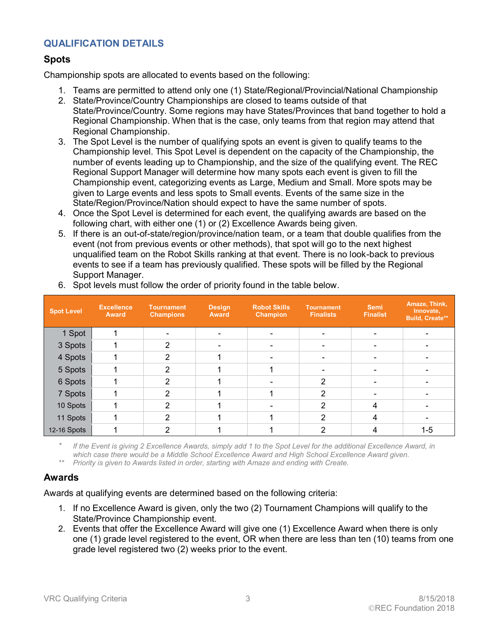#### **QUALIFICATION DETAILS**

#### <span id="page-4-0"></span>**Spots**

Championship spots are allocated to events based on the following:

- 1. Teams are permitted to attend only one (1) State/Regional/Provincial/National Championship
- 2. State/Province/Country Championships are closed to teams outside of that State/Province/Country. Some regions may have States/Provinces that band together to hold a Regional Championship. When that is the case, only teams from that region may attend that Regional Championship.
- 3. The Spot Level is the number of qualifying spots an event is given to qualify teams to the Championship level. This Spot Level is dependent on the capacity of the Championship, the number of events leading up to Championship, and the size of the qualifying event. The REC Regional Support Manager will determine how many spots each event is given to fill the Championship event, categorizing events as Large, Medium and Small. More spots may be given to Large events and less spots to Small events. Events of the same size in the State/Region/Province/Nation should expect to have the same number of spots.
- 4. Once the Spot Level is determined for each event, the qualifying awards are based on the following chart, with either one (1) or (2) Excellence Awards being given.
- 5. If there is an out-of-state/region/province/nation team, or a team that double qualifies from the event (not from previous events or other methods), that spot will go to the next highest unqualified team on the Robot Skills ranking at that event. There is no look-back to previous events to see if a team has previously qualified. These spots will be filled by the Regional Support Manager.

| <b>Spot Level</b> | <b>Excellence</b><br><b>Award</b> | <b>Tournament</b><br><b>Champions</b> | <b>Design</b><br><b>Award</b> | <b>Robot Skills</b><br>Champion | <b>Tournament</b><br><b>Finalists</b> | <b>Semi</b><br><b>Finalist</b> | Amaze, Think,<br>Innovate,<br><b>Build, Create**</b> |
|-------------------|-----------------------------------|---------------------------------------|-------------------------------|---------------------------------|---------------------------------------|--------------------------------|------------------------------------------------------|
| 1 Spot            |                                   |                                       |                               |                                 |                                       |                                |                                                      |
| 3 Spots           |                                   | 2                                     |                               |                                 |                                       |                                |                                                      |
| 4 Spots           |                                   | 2                                     |                               |                                 |                                       |                                |                                                      |
| 5 Spots           |                                   | 2                                     |                               |                                 |                                       |                                |                                                      |
| 6 Spots           |                                   | 2                                     |                               |                                 | $\mathcal{P}$                         |                                |                                                      |
| 7 Spots           |                                   | 2                                     |                               |                                 | າ                                     |                                |                                                      |
| 10 Spots          |                                   | 2                                     |                               |                                 | າ                                     |                                |                                                      |
| 11 Spots          |                                   | 2                                     |                               |                                 | っ                                     | 4                              |                                                      |
| 12-16 Spots       |                                   |                                       |                               |                                 |                                       |                                | $1 - 5$                                              |

6. Spot levels must follow the order of priority found in the table below.

*\* If the Event is giving 2 Excellence Awards, simply add 1 to the Spot Level for the additional Excellence Award, in which case there would be a Middle School Excellence Award and High School Excellence Award given.*

*\*\* Priority is given to Awards listed in order, starting with Amaze and ending with Create.*

#### <span id="page-4-1"></span>**Awards**

Awards at qualifying events are determined based on the following criteria:

- 1. If no Excellence Award is given, only the two (2) Tournament Champions will qualify to the State/Province Championship event.
- 2. Events that offer the Excellence Award will give one (1) Excellence Award when there is only one (1) grade level registered to the event, OR when there are less than ten (10) teams from one grade level registered two (2) weeks prior to the event.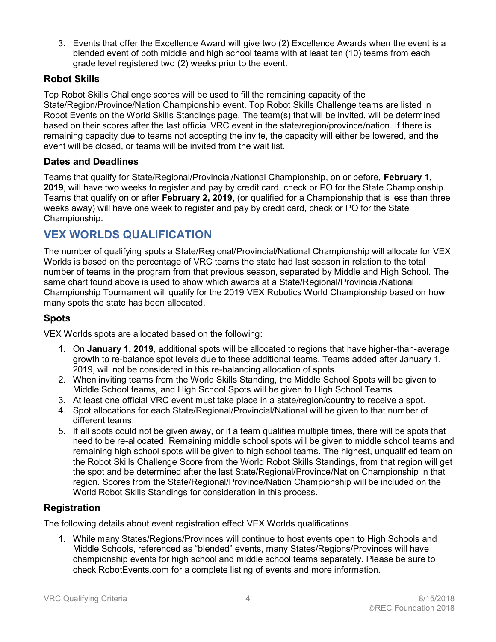3. Events that offer the Excellence Award will give two (2) Excellence Awards when the event is a blended event of both middle and high school teams with at least ten (10) teams from each grade level registered two (2) weeks prior to the event.

#### <span id="page-5-0"></span>**Robot Skills**

Top Robot Skills Challenge scores will be used to fill the remaining capacity of the State/Region/Province/Nation Championship event. Top Robot Skills Challenge teams are listed in Robot Events on the World Skills Standings page. The team(s) that will be invited, will be determined based on their scores after the last official VRC event in the state/region/province/nation. If there is remaining capacity due to teams not accepting the invite, the capacity will either be lowered, and the event will be closed, or teams will be invited from the wait list.

#### <span id="page-5-1"></span>**Dates and Deadlines**

Teams that qualify for State/Regional/Provincial/National Championship, on or before, **February 1, 2019**, will have two weeks to register and pay by credit card, check or PO for the State Championship. Teams that qualify on or after **February 2, 2019**, (or qualified for a Championship that is less than three weeks away) will have one week to register and pay by credit card, check or PO for the State Championship.

## <span id="page-5-2"></span>**VEX WORLDS QUALIFICATION**

The number of qualifying spots a State/Regional/Provincial/National Championship will allocate for VEX Worlds is based on the percentage of VRC teams the state had last season in relation to the total number of teams in the program from that previous season, separated by Middle and High School. The same chart found above is used to show which awards at a State/Regional/Provincial/National Championship Tournament will qualify for the 2019 VEX Robotics World Championship based on how many spots the state has been allocated.

#### <span id="page-5-3"></span>**Spots**

VEX Worlds spots are allocated based on the following:

- 1. On **January 1, 2019**, additional spots will be allocated to regions that have higher-than-average growth to re-balance spot levels due to these additional teams. Teams added after January 1, 2019, will not be considered in this re-balancing allocation of spots.
- 2. When inviting teams from the World Skills Standing, the Middle School Spots will be given to Middle School teams, and High School Spots will be given to High School Teams.
- 3. At least one official VRC event must take place in a state/region/country to receive a spot.
- 4. Spot allocations for each State/Regional/Provincial/National will be given to that number of different teams.
- 5. If all spots could not be given away, or if a team qualifies multiple times, there will be spots that need to be re-allocated. Remaining middle school spots will be given to middle school teams and remaining high school spots will be given to high school teams. The highest, unqualified team on the Robot Skills Challenge Score from the World Robot Skills Standings, from that region will get the spot and be determined after the last State/Regional/Province/Nation Championship in that region. Scores from the State/Regional/Province/Nation Championship will be included on the World Robot Skills Standings for consideration in this process.

#### <span id="page-5-4"></span>**Registration**

The following details about event registration effect VEX Worlds qualifications.

1. While many States/Regions/Provinces will continue to host events open to High Schools and Middle Schools, referenced as "blended" events, many States/Regions/Provinces will have championship events for high school and middle school teams separately. Please be sure to check RobotEvents.com for a complete listing of events and more information.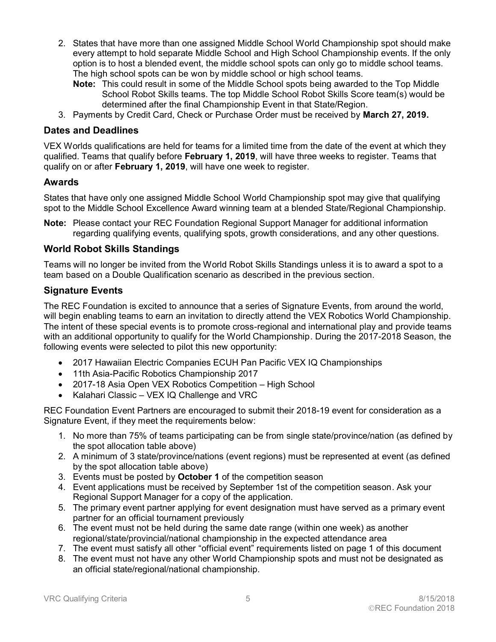- 2. States that have more than one assigned Middle School World Championship spot should make every attempt to hold separate Middle School and High School Championship events. If the only option is to host a blended event, the middle school spots can only go to middle school teams. The high school spots can be won by middle school or high school teams.
	- **Note:** This could result in some of the Middle School spots being awarded to the Top Middle School Robot Skills teams. The top Middle School Robot Skills Score team(s) would be determined after the final Championship Event in that State/Region.
- <span id="page-6-0"></span>3. Payments by Credit Card, Check or Purchase Order must be received by **March 27, 2019.**

#### **Dates and Deadlines**

VEX Worlds qualifications are held for teams for a limited time from the date of the event at which they qualified. Teams that qualify before **February 1, 2019**, will have three weeks to register. Teams that qualify on or after **February 1, 2019**, will have one week to register.

#### <span id="page-6-1"></span>**Awards**

States that have only one assigned Middle School World Championship spot may give that qualifying spot to the Middle School Excellence Award winning team at a blended State/Regional Championship.

<span id="page-6-2"></span>**Note:** Please contact your REC Foundation Regional Support Manager for additional information regarding qualifying events, qualifying spots, growth considerations, and any other questions.

#### **World Robot Skills Standings**

Teams will no longer be invited from the World Robot Skills Standings unless it is to award a spot to a team based on a Double Qualification scenario as described in the previous section.

#### <span id="page-6-3"></span>**Signature Events**

The REC Foundation is excited to announce that a series of Signature Events, from around the world, will begin enabling teams to earn an invitation to directly attend the VEX Robotics World Championship. The intent of these special events is to promote cross-regional and international play and provide teams with an additional opportunity to qualify for the World Championship. During the 2017-2018 Season, the following events were selected to pilot this new opportunity:

- 2017 Hawaiian Electric Companies ECUH Pan Pacific VEX IQ Championships
- 11th Asia-Pacific Robotics Championship 2017
- 2017-18 Asia Open VEX Robotics Competition High School
- Kalahari Classic VEX IQ Challenge and VRC

REC Foundation Event Partners are encouraged to submit their 2018-19 event for consideration as a Signature Event, if they meet the requirements below:

- 1. No more than 75% of teams participating can be from single state/province/nation (as defined by the spot allocation table above)
- 2. A minimum of 3 state/province/nations (event regions) must be represented at event (as defined by the spot allocation table above)
- 3. Events must be posted by **October 1** of the competition season
- 4. Event applications must be received by September 1st of the competition season. Ask your Regional Support Manager for a copy of the application.
- 5. The primary event partner applying for event designation must have served as a primary event partner for an official tournament previously
- 6. The event must not be held during the same date range (within one week) as another regional/state/provincial/national championship in the expected attendance area
- 7. The event must satisfy all other "official event" requirements listed on page 1 of this document
- 8. The event must not have any other World Championship spots and must not be designated as an official state/regional/national championship.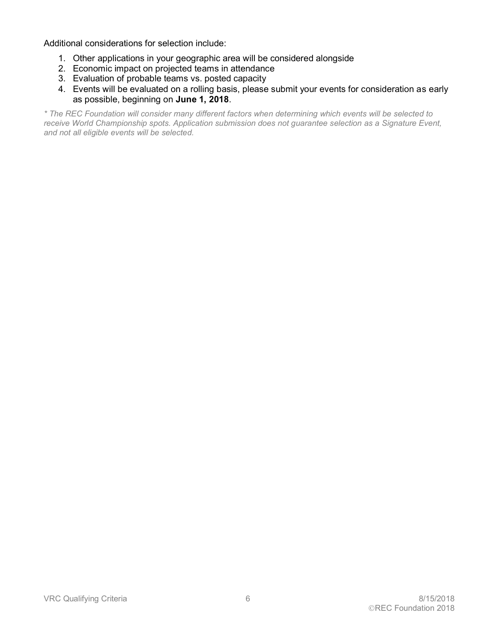Additional considerations for selection include:

- 1. Other applications in your geographic area will be considered alongside
- 2. Economic impact on projected teams in attendance
- 3. Evaluation of probable teams vs. posted capacity
- 4. Events will be evaluated on a rolling basis, please submit your events for consideration as early as possible, beginning on **June 1, 2018**.

*\* The REC Foundation will consider many different factors when determining which events will be selected to receive World Championship spots. Application submission does not guarantee selection as a Signature Event, and not all eligible events will be selected.*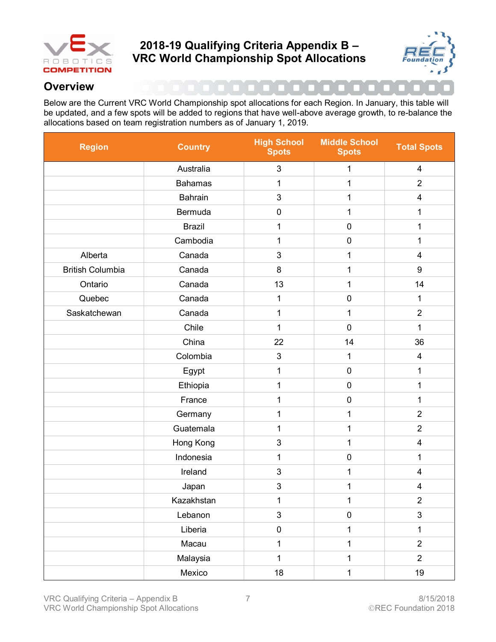

## <span id="page-8-0"></span>**2018-19 Qualifying Criteria Appendix B – VRC World Championship Spot Allocations**



## **Overview**

Below are the Current VRC World Championship spot allocations for each Region. In January, this table will be updated, and a few spots will be added to regions that have well-above average growth, to re-balance the allocations based on team registration numbers as of January 1, 2019.

| <b>Region</b>           | <b>Country</b> | <b>High School</b><br><b>Spots</b> | <b>Middle School</b><br><b>Spots</b> | <b>Total Spots</b>      |
|-------------------------|----------------|------------------------------------|--------------------------------------|-------------------------|
|                         | Australia      | $\mathsf 3$                        | 1                                    | $\overline{\mathbf{4}}$ |
|                         | <b>Bahamas</b> | $\mathbf 1$                        | 1                                    | $\overline{2}$          |
|                         | <b>Bahrain</b> | $\mathsf 3$                        | 1                                    | $\overline{\mathbf{4}}$ |
|                         | Bermuda        | $\pmb{0}$                          | 1                                    | 1                       |
|                         | <b>Brazil</b>  | 1                                  | $\pmb{0}$                            | 1                       |
|                         | Cambodia       | $\mathbf 1$<br>$\pmb{0}$           |                                      | 1                       |
| Alberta                 | Canada         | $\mathsf 3$                        | 1                                    | $\overline{\mathbf{4}}$ |
| <b>British Columbia</b> | Canada         | $\bf 8$                            | $\mathbf 1$                          | 9                       |
| Ontario                 | Canada         | 13                                 | 1                                    | 14                      |
| Quebec                  | Canada         | $\mathbf 1$                        | $\pmb{0}$                            | 1                       |
| Saskatchewan            | Canada         | 1                                  | 1                                    | $\overline{2}$          |
|                         | Chile          | $\mathbf{1}$                       | $\mathbf 0$                          | 1                       |
|                         | China          | 22                                 | 14                                   | 36                      |
|                         | Colombia       | $\mathfrak{B}$                     | 1                                    | $\overline{\mathbf{4}}$ |
|                         | Egypt          | 1                                  | $\pmb{0}$                            | 1                       |
|                         | Ethiopia       | 1                                  | $\pmb{0}$                            | 1                       |
|                         | France         | 1                                  | $\pmb{0}$                            | 1                       |
|                         | Germany        | 1                                  | 1                                    | $\overline{2}$          |
|                         | Guatemala      | $\mathbf{1}$                       | 1                                    | $\overline{2}$          |
|                         | Hong Kong      | $\mathsf 3$                        | 1                                    | $\overline{\mathbf{4}}$ |
|                         | Indonesia      | $\mathbf 1$                        | $\pmb{0}$                            | 1                       |
|                         | Ireland        | 3                                  | 1                                    | $\overline{\mathbf{4}}$ |
|                         | Japan          | $\ensuremath{\mathsf{3}}$          | 1                                    | $\overline{\mathbf{4}}$ |
|                         | Kazakhstan     | 1                                  | 1                                    | 2                       |
|                         | Lebanon        | 3                                  | $\pmb{0}$                            | $\mathfrak{S}$          |
|                         | Liberia        | $\pmb{0}$                          | $\mathbf{1}$                         | 1                       |
|                         | Macau          | $\mathbf{1}$                       | $\mathbf 1$                          | $\overline{2}$          |
|                         | Malaysia       | $\mathbf{1}$                       | $\mathbf{1}$                         | $\overline{2}$          |
|                         | Mexico         | 18                                 | $\mathbf 1$                          | 19                      |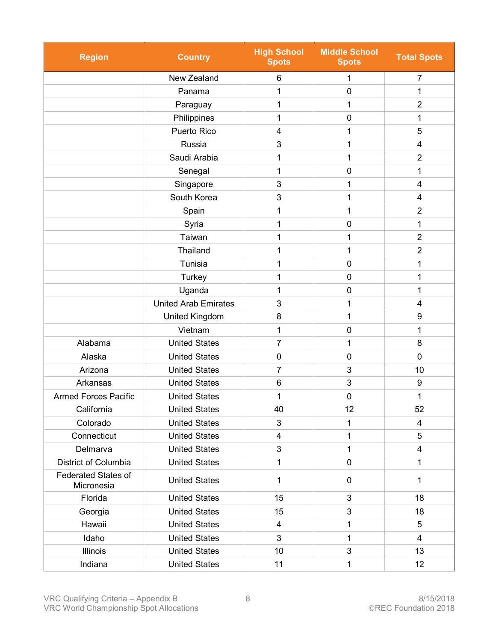| <b>Region</b><br><b>Country</b>          |                      | <b>High School</b><br><b>Spots</b> | <b>Middle School</b><br><b>Spots</b> | <b>Total Spots</b>      |
|------------------------------------------|----------------------|------------------------------------|--------------------------------------|-------------------------|
|                                          | New Zealand          | 6                                  | 1                                    | 7                       |
|                                          | Panama               | 1                                  | $\mathbf 0$                          | 1                       |
|                                          | Paraguay             | 1                                  | 1                                    | $\overline{2}$          |
|                                          | Philippines          | 1                                  | $\mathbf 0$                          | 1                       |
|                                          | Puerto Rico          | 4                                  | 1                                    | 5                       |
|                                          | Russia               | 3                                  | 1                                    | 4                       |
|                                          | Saudi Arabia         |                                    | 1                                    | $\overline{2}$          |
|                                          | Senegal              | 1                                  | $\pmb{0}$                            | 1                       |
|                                          | Singapore            | 3                                  | 1                                    | 4                       |
|                                          | South Korea          | 3                                  | 1                                    | 4                       |
|                                          | Spain                | 1                                  | 1                                    | $\overline{2}$          |
|                                          | Syria                | 1                                  | $\mathbf 0$                          | 1                       |
|                                          | Taiwan               | 1                                  | 1                                    | $\overline{2}$          |
|                                          | Thailand             | 1                                  | 1                                    | $\overline{2}$          |
|                                          | Tunisia              | 1                                  | $\mathbf 0$                          | 1                       |
|                                          | Turkey               | 1                                  | $\mathbf 0$                          | 1                       |
| Uganda                                   |                      | 1                                  | $\mathbf 0$                          | 1                       |
| <b>United Arab Emirates</b>              |                      | 3                                  | 1                                    | 4                       |
| United Kingdom                           |                      | 8                                  | 1                                    | 9                       |
| Vietnam                                  |                      | 1                                  | $\mathbf 0$                          | 1                       |
| Alabama                                  | <b>United States</b> |                                    | 1                                    | 8                       |
| Alaska                                   | <b>United States</b> | $\mathbf 0$                        | $\mathbf 0$                          | 0                       |
| Arizona                                  | <b>United States</b> | 7                                  | 3                                    | 10                      |
| Arkansas                                 | <b>United States</b> | 6                                  | 3                                    | 9                       |
| <b>Armed Forces Pacific</b>              | <b>United States</b> | 1                                  | 0                                    | 1                       |
| California                               | United States        | 40                                 | 12                                   | 52                      |
| Colorado                                 | <b>United States</b> | 3                                  | $\mathbf{1}$                         | $\overline{\mathbf{4}}$ |
| Connecticut                              | <b>United States</b> | 4                                  | 1                                    | 5                       |
| Delmarva                                 | <b>United States</b> | 3                                  | $\mathbf{1}$                         | $\overline{\mathbf{4}}$ |
| District of Columbia                     | <b>United States</b> | $\mathbf{1}$                       | $\mathbf 0$                          | $\mathbf{1}$            |
| <b>Federated States of</b><br>Micronesia | <b>United States</b> | $\mathbf{1}$                       | $\mathbf 0$                          | $\mathbf{1}$            |
| Florida                                  | <b>United States</b> | 15                                 | 3                                    | 18                      |
| <b>United States</b><br>Georgia          |                      | 15                                 | 3                                    | 18                      |
| Hawaii                                   | <b>United States</b> |                                    | 1                                    | 5                       |
| Idaho                                    | <b>United States</b> | 3                                  | $\mathbf{1}$                         | 4                       |
| <b>Illinois</b>                          | <b>United States</b> |                                    | 3                                    | 13                      |
| Indiana<br><b>United States</b>          |                      | 11                                 | 1                                    | 12                      |